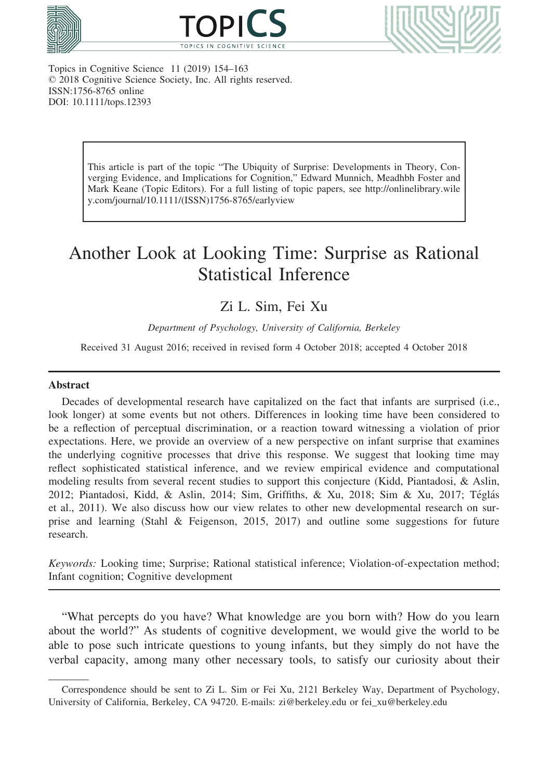





Topics in Cognitive Science 11 (2019) 154–163 © 2018 Cognitive Science Society, Inc. All rights reserved. ISSN:1756-8765 online DOI: 10.1111/tops.12393

> This article is part of the topic "The Ubiquity of Surprise: Developments in Theory, Converging Evidence, and Implications for Cognition," Edward Munnich, Meadhbh Foster and Mark Keane (Topic Editors). For a full listing of topic papers, see [http://onlinelibrary.wile](http://onlinelibrary.wiley.com/journal/10.1111/(ISSN)1756-8765/earlyview) [y.com/journal/10.1111/\(ISSN\)1756-8765/earlyview](http://onlinelibrary.wiley.com/journal/10.1111/(ISSN)1756-8765/earlyview)

# Another Look at Looking Time: Surprise as Rational Statistical Inference

# Zi L. Sim, Fei Xu

### Department of Psychology, University of California, Berkeley

Received 31 August 2016; received in revised form 4 October 2018; accepted 4 October 2018

### Abstract

Decades of developmental research have capitalized on the fact that infants are surprised (i.e., look longer) at some events but not others. Differences in looking time have been considered to be a reflection of perceptual discrimination, or a reaction toward witnessing a violation of prior expectations. Here, we provide an overview of a new perspective on infant surprise that examines the underlying cognitive processes that drive this response. We suggest that looking time may reflect sophisticated statistical inference, and we review empirical evidence and computational modeling results from several recent studies to support this conjecture (Kidd, Piantadosi, & Aslin, 2012; Piantadosi, Kidd, & Aslin, 2014; Sim, Griffiths, & Xu, 2018; Sim & Xu, 2017; Teglas et al., 2011). We also discuss how our view relates to other new developmental research on surprise and learning (Stahl & Feigenson, 2015, 2017) and outline some suggestions for future research.

Keywords: Looking time; Surprise; Rational statistical inference; Violation-of-expectation method; Infant cognition; Cognitive development

"What percepts do you have? What knowledge are you born with? How do you learn about the world?" As students of cognitive development, we would give the world to be able to pose such intricate questions to young infants, but they simply do not have the verbal capacity, among many other necessary tools, to satisfy our curiosity about their

Correspondence should be sent to Zi L. Sim or Fei Xu, 2121 Berkeley Way, Department of Psychology, University of California, Berkeley, CA 94720. E-mails: [zi@berkeley.edu](mailto:) or [fei\\_xu@berkeley.edu](mailto:)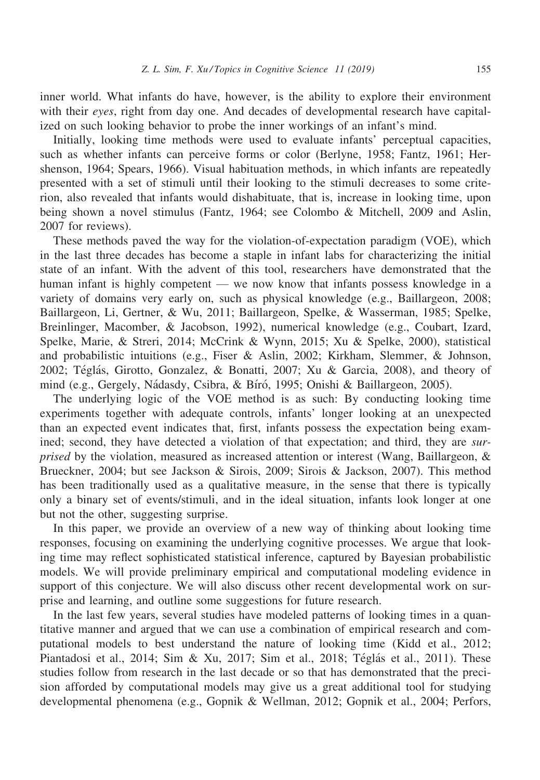inner world. What infants do have, however, is the ability to explore their environment with their *eyes*, right from day one. And decades of developmental research have capitalized on such looking behavior to probe the inner workings of an infant's mind.

Initially, looking time methods were used to evaluate infants' perceptual capacities, such as whether infants can perceive forms or color (Berlyne, 1958; Fantz, 1961; Hershenson, 1964; Spears, 1966). Visual habituation methods, in which infants are repeatedly presented with a set of stimuli until their looking to the stimuli decreases to some criterion, also revealed that infants would dishabituate, that is, increase in looking time, upon being shown a novel stimulus (Fantz, 1964; see Colombo & Mitchell, 2009 and Aslin, 2007 for reviews).

These methods paved the way for the violation-of-expectation paradigm (VOE), which in the last three decades has become a staple in infant labs for characterizing the initial state of an infant. With the advent of this tool, researchers have demonstrated that the human infant is highly competent — we now know that infants possess knowledge in a variety of domains very early on, such as physical knowledge (e.g., Baillargeon, 2008; Baillargeon, Li, Gertner, & Wu, 2011; Baillargeon, Spelke, & Wasserman, 1985; Spelke, Breinlinger, Macomber, & Jacobson, 1992), numerical knowledge (e.g., Coubart, Izard, Spelke, Marie, & Streri, 2014; McCrink & Wynn, 2015; Xu & Spelke, 2000), statistical and probabilistic intuitions (e.g., Fiser & Aslin, 2002; Kirkham, Slemmer, & Johnson, 2002; Teglas, Girotto, Gonzalez, & Bonatti, 2007; Xu & Garcia, 2008), and theory of mind (e.g., Gergely, Nádasdy, Csibra, & Bíró, 1995; Onishi & Baillargeon, 2005).

The underlying logic of the VOE method is as such: By conducting looking time experiments together with adequate controls, infants' longer looking at an unexpected than an expected event indicates that, first, infants possess the expectation being examined; second, they have detected a violation of that expectation; and third, they are *sur*prised by the violation, measured as increased attention or interest (Wang, Baillargeon, & Brueckner, 2004; but see Jackson & Sirois, 2009; Sirois & Jackson, 2007). This method has been traditionally used as a qualitative measure, in the sense that there is typically only a binary set of events/stimuli, and in the ideal situation, infants look longer at one but not the other, suggesting surprise.

In this paper, we provide an overview of a new way of thinking about looking time responses, focusing on examining the underlying cognitive processes. We argue that looking time may reflect sophisticated statistical inference, captured by Bayesian probabilistic models. We will provide preliminary empirical and computational modeling evidence in support of this conjecture. We will also discuss other recent developmental work on surprise and learning, and outline some suggestions for future research.

In the last few years, several studies have modeled patterns of looking times in a quantitative manner and argued that we can use a combination of empirical research and computational models to best understand the nature of looking time (Kidd et al., 2012; Piantadosi et al., 2014; Sim & Xu, 2017; Sim et al., 2018; Teglas et al., 2011). These studies follow from research in the last decade or so that has demonstrated that the precision afforded by computational models may give us a great additional tool for studying developmental phenomena (e.g., Gopnik & Wellman, 2012; Gopnik et al., 2004; Perfors,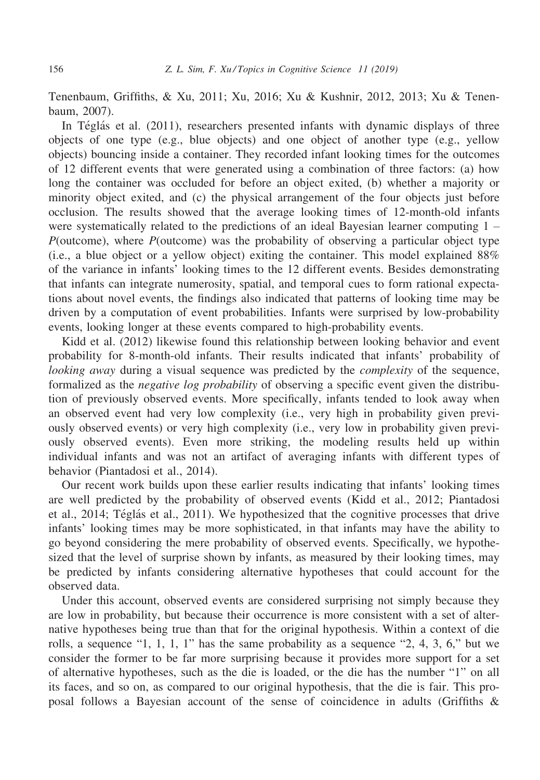Tenenbaum, Griffiths, & Xu, 2011; Xu, 2016; Xu & Kushnir, 2012, 2013; Xu & Tenenbaum, 2007).

In Téglás et al. (2011), researchers presented infants with dynamic displays of three objects of one type (e.g., blue objects) and one object of another type (e.g., yellow objects) bouncing inside a container. They recorded infant looking times for the outcomes of 12 different events that were generated using a combination of three factors: (a) how long the container was occluded for before an object exited, (b) whether a majority or minority object exited, and (c) the physical arrangement of the four objects just before occlusion. The results showed that the average looking times of 12-month-old infants were systematically related to the predictions of an ideal Bayesian learner computing  $1 -$ P(outcome), where P(outcome) was the probability of observing a particular object type (i.e., a blue object or a yellow object) exiting the container. This model explained 88% of the variance in infants' looking times to the 12 different events. Besides demonstrating that infants can integrate numerosity, spatial, and temporal cues to form rational expectations about novel events, the findings also indicated that patterns of looking time may be driven by a computation of event probabilities. Infants were surprised by low-probability events, looking longer at these events compared to high-probability events.

Kidd et al. (2012) likewise found this relationship between looking behavior and event probability for 8-month-old infants. Their results indicated that infants' probability of *looking away* during a visual sequence was predicted by the *complexity* of the sequence, formalized as the negative log probability of observing a specific event given the distribution of previously observed events. More specifically, infants tended to look away when an observed event had very low complexity (i.e., very high in probability given previously observed events) or very high complexity (i.e., very low in probability given previously observed events). Even more striking, the modeling results held up within individual infants and was not an artifact of averaging infants with different types of behavior (Piantadosi et al., 2014).

Our recent work builds upon these earlier results indicating that infants' looking times are well predicted by the probability of observed events (Kidd et al., 2012; Piantadosi et al., 2014; Teglas et al., 2011). We hypothesized that the cognitive processes that drive infants' looking times may be more sophisticated, in that infants may have the ability to go beyond considering the mere probability of observed events. Specifically, we hypothesized that the level of surprise shown by infants, as measured by their looking times, may be predicted by infants considering alternative hypotheses that could account for the observed data.

Under this account, observed events are considered surprising not simply because they are low in probability, but because their occurrence is more consistent with a set of alternative hypotheses being true than that for the original hypothesis. Within a context of die rolls, a sequence "1, 1, 1, 1" has the same probability as a sequence "2, 4, 3, 6," but we consider the former to be far more surprising because it provides more support for a set of alternative hypotheses, such as the die is loaded, or the die has the number "1" on all its faces, and so on, as compared to our original hypothesis, that the die is fair. This proposal follows a Bayesian account of the sense of coincidence in adults (Griffiths &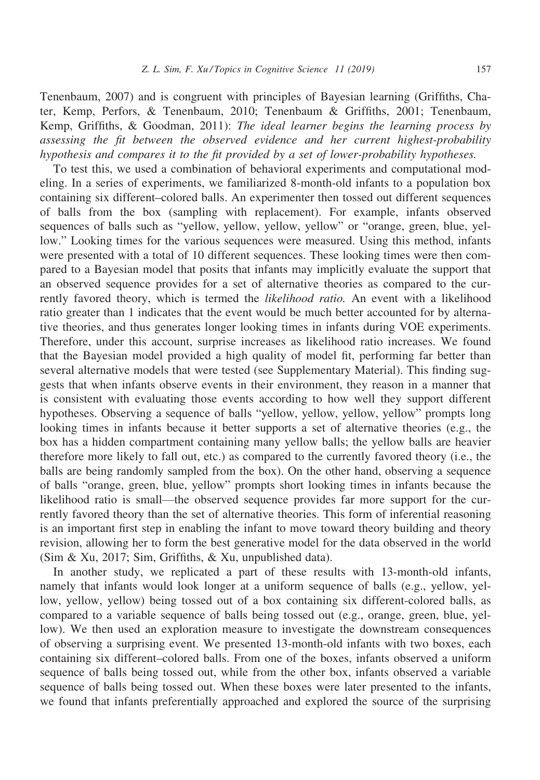Tenenbaum, 2007) and is congruent with principles of Bayesian learning (Griffiths, Chater, Kemp, Perfors, & Tenenbaum, 2010; Tenenbaum & Griffiths, 2001; Tenenbaum, Kemp, Griffiths, & Goodman, 2011): The ideal learner begins the learning process by assessing the fit between the observed evidence and her current highest-probability hypothesis and compares it to the fit provided by a set of lower-probability hypotheses.

To test this, we used a combination of behavioral experiments and computational modeling. In a series of experiments, we familiarized 8-month-old infants to a population box containing six different–colored balls. An experimenter then tossed out different sequences of balls from the box (sampling with replacement). For example, infants observed sequences of balls such as "yellow, yellow, yellow, yellow" or "orange, green, blue, yellow." Looking times for the various sequences were measured. Using this method, infants were presented with a total of 10 different sequences. These looking times were then compared to a Bayesian model that posits that infants may implicitly evaluate the support that an observed sequence provides for a set of alternative theories as compared to the currently favored theory, which is termed the likelihood ratio. An event with a likelihood ratio greater than 1 indicates that the event would be much better accounted for by alternative theories, and thus generates longer looking times in infants during VOE experiments. Therefore, under this account, surprise increases as likelihood ratio increases. We found that the Bayesian model provided a high quality of model fit, performing far better than several alternative models that were tested (see Supplementary Material). This finding suggests that when infants observe events in their environment, they reason in a manner that is consistent with evaluating those events according to how well they support different hypotheses. Observing a sequence of balls "yellow, yellow, yellow, yellow" prompts long looking times in infants because it better supports a set of alternative theories (e.g., the box has a hidden compartment containing many yellow balls; the yellow balls are heavier therefore more likely to fall out, etc.) as compared to the currently favored theory (i.e., the balls are being randomly sampled from the box). On the other hand, observing a sequence of balls "orange, green, blue, yellow" prompts short looking times in infants because the likelihood ratio is small—the observed sequence provides far more support for the currently favored theory than the set of alternative theories. This form of inferential reasoning is an important first step in enabling the infant to move toward theory building and theory revision, allowing her to form the best generative model for the data observed in the world (Sim & Xu, 2017; Sim, Griffiths, & Xu, unpublished data).

In another study, we replicated a part of these results with 13-month-old infants, namely that infants would look longer at a uniform sequence of balls (e.g., yellow, yellow, yellow, yellow) being tossed out of a box containing six different-colored balls, as compared to a variable sequence of balls being tossed out (e.g., orange, green, blue, yellow). We then used an exploration measure to investigate the downstream consequences of observing a surprising event. We presented 13-month-old infants with two boxes, each containing six different–colored balls. From one of the boxes, infants observed a uniform sequence of balls being tossed out, while from the other box, infants observed a variable sequence of balls being tossed out. When these boxes were later presented to the infants, we found that infants preferentially approached and explored the source of the surprising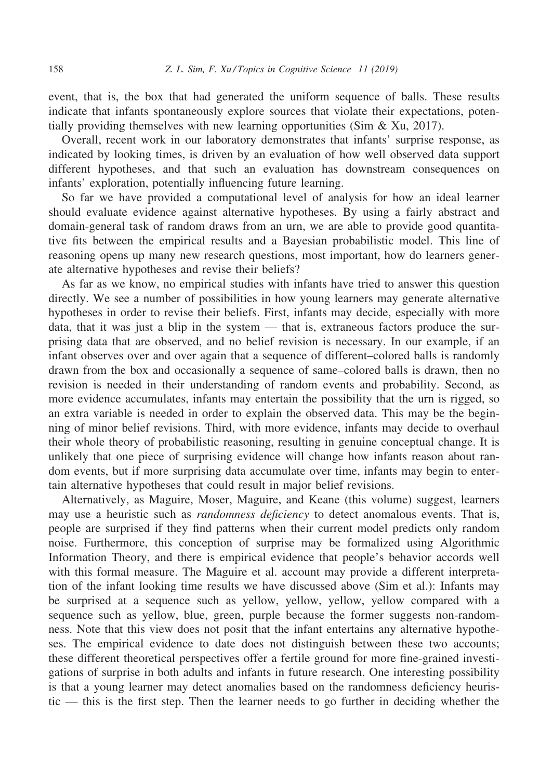event, that is, the box that had generated the uniform sequence of balls. These results indicate that infants spontaneously explore sources that violate their expectations, potentially providing themselves with new learning opportunities (Sim  $\&$  Xu, 2017).

Overall, recent work in our laboratory demonstrates that infants' surprise response, as indicated by looking times, is driven by an evaluation of how well observed data support different hypotheses, and that such an evaluation has downstream consequences on infants' exploration, potentially influencing future learning.

So far we have provided a computational level of analysis for how an ideal learner should evaluate evidence against alternative hypotheses. By using a fairly abstract and domain-general task of random draws from an urn, we are able to provide good quantitative fits between the empirical results and a Bayesian probabilistic model. This line of reasoning opens up many new research questions, most important, how do learners generate alternative hypotheses and revise their beliefs?

As far as we know, no empirical studies with infants have tried to answer this question directly. We see a number of possibilities in how young learners may generate alternative hypotheses in order to revise their beliefs. First, infants may decide, especially with more data, that it was just a blip in the system — that is, extraneous factors produce the surprising data that are observed, and no belief revision is necessary. In our example, if an infant observes over and over again that a sequence of different–colored balls is randomly drawn from the box and occasionally a sequence of same–colored balls is drawn, then no revision is needed in their understanding of random events and probability. Second, as more evidence accumulates, infants may entertain the possibility that the urn is rigged, so an extra variable is needed in order to explain the observed data. This may be the beginning of minor belief revisions. Third, with more evidence, infants may decide to overhaul their whole theory of probabilistic reasoning, resulting in genuine conceptual change. It is unlikely that one piece of surprising evidence will change how infants reason about random events, but if more surprising data accumulate over time, infants may begin to entertain alternative hypotheses that could result in major belief revisions.

Alternatively, as Maguire, Moser, Maguire, and Keane (this volume) suggest, learners may use a heuristic such as *randomness deficiency* to detect anomalous events. That is, people are surprised if they find patterns when their current model predicts only random noise. Furthermore, this conception of surprise may be formalized using Algorithmic Information Theory, and there is empirical evidence that people's behavior accords well with this formal measure. The Maguire et al. account may provide a different interpretation of the infant looking time results we have discussed above (Sim et al.): Infants may be surprised at a sequence such as yellow, yellow, yellow, yellow compared with a sequence such as yellow, blue, green, purple because the former suggests non-randomness. Note that this view does not posit that the infant entertains any alternative hypotheses. The empirical evidence to date does not distinguish between these two accounts; these different theoretical perspectives offer a fertile ground for more fine-grained investigations of surprise in both adults and infants in future research. One interesting possibility is that a young learner may detect anomalies based on the randomness deficiency heuristic — this is the first step. Then the learner needs to go further in deciding whether the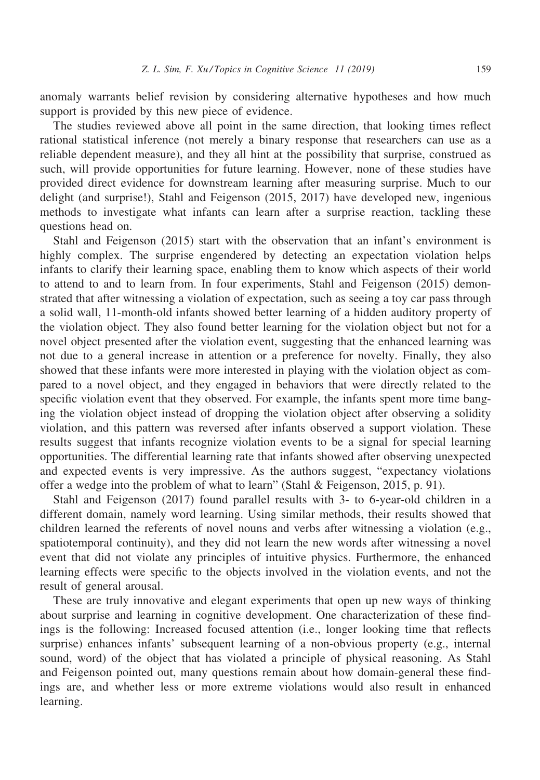anomaly warrants belief revision by considering alternative hypotheses and how much support is provided by this new piece of evidence.

The studies reviewed above all point in the same direction, that looking times reflect rational statistical inference (not merely a binary response that researchers can use as a reliable dependent measure), and they all hint at the possibility that surprise, construed as such, will provide opportunities for future learning. However, none of these studies have provided direct evidence for downstream learning after measuring surprise. Much to our delight (and surprise!), Stahl and Feigenson (2015, 2017) have developed new, ingenious methods to investigate what infants can learn after a surprise reaction, tackling these questions head on.

Stahl and Feigenson (2015) start with the observation that an infant's environment is highly complex. The surprise engendered by detecting an expectation violation helps infants to clarify their learning space, enabling them to know which aspects of their world to attend to and to learn from. In four experiments, Stahl and Feigenson (2015) demonstrated that after witnessing a violation of expectation, such as seeing a toy car pass through a solid wall, 11-month-old infants showed better learning of a hidden auditory property of the violation object. They also found better learning for the violation object but not for a novel object presented after the violation event, suggesting that the enhanced learning was not due to a general increase in attention or a preference for novelty. Finally, they also showed that these infants were more interested in playing with the violation object as compared to a novel object, and they engaged in behaviors that were directly related to the specific violation event that they observed. For example, the infants spent more time banging the violation object instead of dropping the violation object after observing a solidity violation, and this pattern was reversed after infants observed a support violation. These results suggest that infants recognize violation events to be a signal for special learning opportunities. The differential learning rate that infants showed after observing unexpected and expected events is very impressive. As the authors suggest, "expectancy violations offer a wedge into the problem of what to learn" (Stahl & Feigenson, 2015, p. 91).

Stahl and Feigenson (2017) found parallel results with 3- to 6-year-old children in a different domain, namely word learning. Using similar methods, their results showed that children learned the referents of novel nouns and verbs after witnessing a violation (e.g., spatiotemporal continuity), and they did not learn the new words after witnessing a novel event that did not violate any principles of intuitive physics. Furthermore, the enhanced learning effects were specific to the objects involved in the violation events, and not the result of general arousal.

These are truly innovative and elegant experiments that open up new ways of thinking about surprise and learning in cognitive development. One characterization of these findings is the following: Increased focused attention (i.e., longer looking time that reflects surprise) enhances infants' subsequent learning of a non-obvious property (e.g., internal sound, word) of the object that has violated a principle of physical reasoning. As Stahl and Feigenson pointed out, many questions remain about how domain-general these findings are, and whether less or more extreme violations would also result in enhanced learning.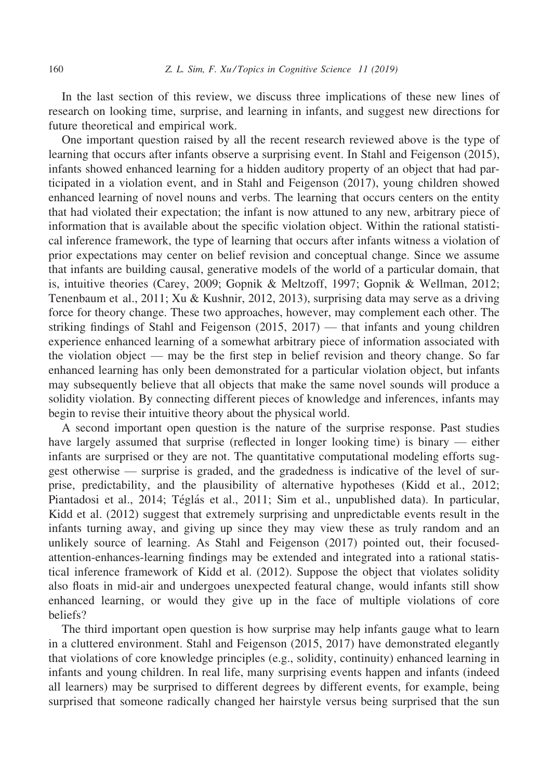In the last section of this review, we discuss three implications of these new lines of research on looking time, surprise, and learning in infants, and suggest new directions for future theoretical and empirical work.

One important question raised by all the recent research reviewed above is the type of learning that occurs after infants observe a surprising event. In Stahl and Feigenson (2015), infants showed enhanced learning for a hidden auditory property of an object that had participated in a violation event, and in Stahl and Feigenson (2017), young children showed enhanced learning of novel nouns and verbs. The learning that occurs centers on the entity that had violated their expectation; the infant is now attuned to any new, arbitrary piece of information that is available about the specific violation object. Within the rational statistical inference framework, the type of learning that occurs after infants witness a violation of prior expectations may center on belief revision and conceptual change. Since we assume that infants are building causal, generative models of the world of a particular domain, that is, intuitive theories (Carey, 2009; Gopnik & Meltzoff, 1997; Gopnik & Wellman, 2012; Tenenbaum et al., 2011; Xu & Kushnir, 2012, 2013), surprising data may serve as a driving force for theory change. These two approaches, however, may complement each other. The striking findings of Stahl and Feigenson (2015, 2017) — that infants and young children experience enhanced learning of a somewhat arbitrary piece of information associated with the violation object — may be the first step in belief revision and theory change. So far enhanced learning has only been demonstrated for a particular violation object, but infants may subsequently believe that all objects that make the same novel sounds will produce a solidity violation. By connecting different pieces of knowledge and inferences, infants may begin to revise their intuitive theory about the physical world.

A second important open question is the nature of the surprise response. Past studies have largely assumed that surprise (reflected in longer looking time) is binary — either infants are surprised or they are not. The quantitative computational modeling efforts suggest otherwise — surprise is graded, and the gradedness is indicative of the level of surprise, predictability, and the plausibility of alternative hypotheses (Kidd et al., 2012; Piantadosi et al., 2014; Téglás et al., 2011; Sim et al., unpublished data). In particular, Kidd et al. (2012) suggest that extremely surprising and unpredictable events result in the infants turning away, and giving up since they may view these as truly random and an unlikely source of learning. As Stahl and Feigenson (2017) pointed out, their focusedattention-enhances-learning findings may be extended and integrated into a rational statistical inference framework of Kidd et al. (2012). Suppose the object that violates solidity also floats in mid-air and undergoes unexpected featural change, would infants still show enhanced learning, or would they give up in the face of multiple violations of core beliefs?

The third important open question is how surprise may help infants gauge what to learn in a cluttered environment. Stahl and Feigenson (2015, 2017) have demonstrated elegantly that violations of core knowledge principles (e.g., solidity, continuity) enhanced learning in infants and young children. In real life, many surprising events happen and infants (indeed all learners) may be surprised to different degrees by different events, for example, being surprised that someone radically changed her hairstyle versus being surprised that the sun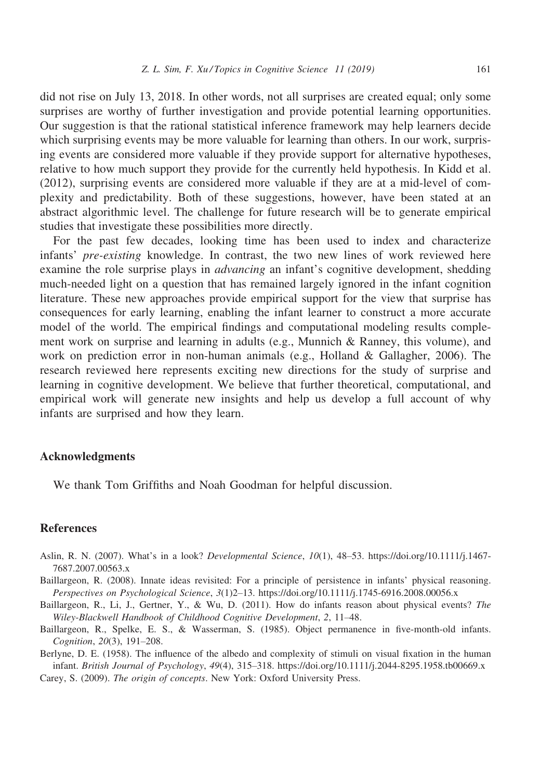did not rise on July 13, 2018. In other words, not all surprises are created equal; only some surprises are worthy of further investigation and provide potential learning opportunities. Our suggestion is that the rational statistical inference framework may help learners decide which surprising events may be more valuable for learning than others. In our work, surprising events are considered more valuable if they provide support for alternative hypotheses, relative to how much support they provide for the currently held hypothesis. In Kidd et al. (2012), surprising events are considered more valuable if they are at a mid-level of complexity and predictability. Both of these suggestions, however, have been stated at an abstract algorithmic level. The challenge for future research will be to generate empirical studies that investigate these possibilities more directly.

For the past few decades, looking time has been used to index and characterize infants' pre-existing knowledge. In contrast, the two new lines of work reviewed here examine the role surprise plays in *advancing* an infant's cognitive development, shedding much-needed light on a question that has remained largely ignored in the infant cognition literature. These new approaches provide empirical support for the view that surprise has consequences for early learning, enabling the infant learner to construct a more accurate model of the world. The empirical findings and computational modeling results complement work on surprise and learning in adults (e.g., Munnich  $\&$  Ranney, this volume), and work on prediction error in non-human animals (e.g., Holland & Gallagher, 2006). The research reviewed here represents exciting new directions for the study of surprise and learning in cognitive development. We believe that further theoretical, computational, and empirical work will generate new insights and help us develop a full account of why infants are surprised and how they learn.

#### Acknowledgments

We thank Tom Griffiths and Noah Goodman for helpful discussion.

### References

- Aslin, R. N. (2007). What's in a look? Developmental Science, 10(1), 48–53. [https://doi.org/10.1111/j.1467-](https://doi.org/10.1111/j.1467-7687.2007.00563.x) [7687.2007.00563.x](https://doi.org/10.1111/j.1467-7687.2007.00563.x)
- Baillargeon, R. (2008). Innate ideas revisited: For a principle of persistence in infants' physical reasoning. Perspectives on Psychological Science, 3(1)2–13.<https://doi.org/10.1111/j.1745-6916.2008.00056.x>
- Baillargeon, R., Li, J., Gertner, Y., & Wu, D. (2011). How do infants reason about physical events? The Wiley-Blackwell Handbook of Childhood Cognitive Development, 2, 11–48.
- Baillargeon, R., Spelke, E. S., & Wasserman, S. (1985). Object permanence in five-month-old infants. Cognition, 20(3), 191–208.

Berlyne, D. E. (1958). The influence of the albedo and complexity of stimuli on visual fixation in the human infant. British Journal of Psychology, 49(4), 315–318.<https://doi.org/10.1111/j.2044-8295.1958.tb00669.x> Carey, S. (2009). The origin of concepts. New York: Oxford University Press.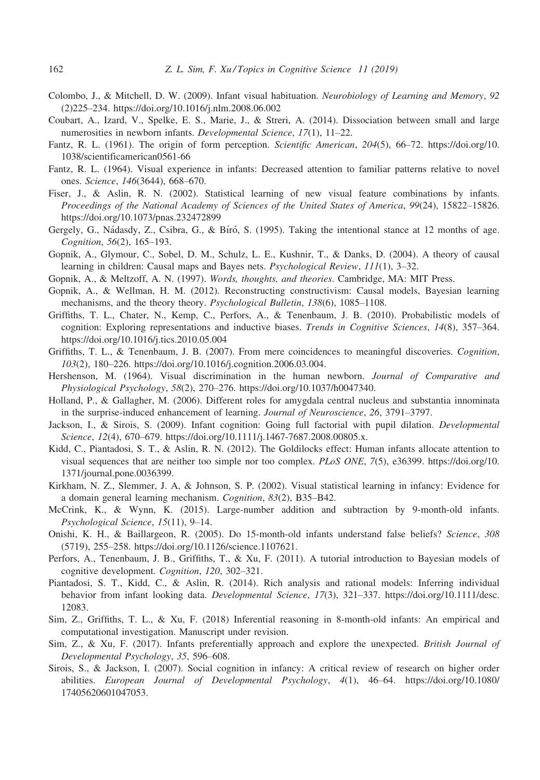- Colombo, J., & Mitchell, D. W. (2009). Infant visual habituation. Neurobiology of Learning and Memory, 92 (2)225–234.<https://doi.org/10.1016/j.nlm.2008.06.002>
- Coubart, A., Izard, V., Spelke, E. S., Marie, J., & Streri, A. (2014). Dissociation between small and large numerosities in newborn infants. Developmental Science, 17(1), 11–22.
- Fantz, R. L. (1961). The origin of form perception. Scientific American, 204(5), 66–72. [https://doi.org/10.](https://doi.org/10.1038/scientificamerican0561-66) [1038/scientificamerican0561-66](https://doi.org/10.1038/scientificamerican0561-66)
- Fantz, R. L. (1964). Visual experience in infants: Decreased attention to familiar patterns relative to novel ones. Science, 146(3644), 668–670.
- Fiser, J., & Aslin, R. N. (2002). Statistical learning of new visual feature combinations by infants. Proceedings of the National Academy of Sciences of the United States of America, 99(24), 15822–15826. <https://doi.org/10.1073/pnas.232472899>
- Gergely, G., Nádasdy, Z., Csibra, G., & Bíró, S. (1995). Taking the intentional stance at 12 months of age. Cognition, 56(2), 165–193.
- Gopnik, A., Glymour, C., Sobel, D. M., Schulz, L. E., Kushnir, T., & Danks, D. (2004). A theory of causal learning in children: Causal maps and Bayes nets. Psychological Review, 111(1), 3–32.
- Gopnik, A., & Meltzoff, A. N. (1997). Words, thoughts, and theories. Cambridge, MA: MIT Press.
- Gopnik, A., & Wellman, H. M. (2012). Reconstructing constructivism: Causal models, Bayesian learning mechanisms, and the theory theory. Psychological Bulletin, 138(6), 1085–1108.
- Griffiths, T. L., Chater, N., Kemp, C., Perfors, A., & Tenenbaum, J. B. (2010). Probabilistic models of cognition: Exploring representations and inductive biases. Trends in Cognitive Sciences, 14(8), 357–364. <https://doi.org/10.1016/j.tics.2010.05.004>
- Griffiths, T. L., & Tenenbaum, J. B. (2007). From mere coincidences to meaningful discoveries. Cognition, 103(2), 180–226. [https://doi.org/10.1016/j.cognition.2006.03.004.](https://doi.org/10.1016/j.cognition.2006.03.004)
- Hershenson, M. (1964). Visual discrimination in the human newborn. Journal of Comparative and Physiological Psychology, 58(2), 270–276.<https://doi.org/10.1037/h0047340>.
- Holland, P., & Gallagher, M. (2006). Different roles for amygdala central nucleus and substantia innominata in the surprise-induced enhancement of learning. Journal of Neuroscience, 26, 3791–3797.
- Jackson, I., & Sirois, S. (2009). Infant cognition: Going full factorial with pupil dilation. Developmental Science, 12(4), 670–679.<https://doi.org/10.1111/j.1467-7687.2008.00805.x>.
- Kidd, C., Piantadosi, S. T., & Aslin, R. N. (2012). The Goldilocks effect: Human infants allocate attention to visual sequences that are neither too simple nor too complex. PLoS ONE, 7(5), e36399. [https://doi.org/10.](https://doi.org/10.1371/journal.pone.0036399) [1371/journal.pone.0036399](https://doi.org/10.1371/journal.pone.0036399).
- Kirkham, N. Z., Slemmer, J. A, & Johnson, S. P. (2002). Visual statistical learning in infancy: Evidence for a domain general learning mechanism. Cognition, 83(2), B35–B42.
- McCrink, K., & Wynn, K. (2015). Large-number addition and subtraction by 9-month-old infants. Psychological Science, 15(11), 9–14.
- Onishi, K. H., & Baillargeon, R. (2005). Do 15-month-old infants understand false beliefs? Science, 308 (5719), 255–258. [https://doi.org/10.1126/science.1107621.](https://doi.org/10.1126/science.1107621)
- Perfors, A., Tenenbaum, J. B., Griffiths, T., & Xu, F. (2011). A tutorial introduction to Bayesian models of cognitive development. Cognition, 120, 302–321.
- Piantadosi, S. T., Kidd, C., & Aslin, R. (2014). Rich analysis and rational models: Inferring individual behavior from infant looking data. Developmental Science, 17(3), 321–337. [https://doi.org/10.1111/desc.](https://doi.org/10.1111/desc.12083) [12083.](https://doi.org/10.1111/desc.12083)
- Sim, Z., Griffiths, T. L., & Xu, F. (2018) Inferential reasoning in 8-month-old infants: An empirical and computational investigation. Manuscript under revision.
- Sim, Z., & Xu, F. (2017). Infants preferentially approach and explore the unexpected. British Journal of Developmental Psychology, 35, 596–608.
- Sirois, S., & Jackson, I. (2007). Social cognition in infancy: A critical review of research on higher order abilities. European Journal of Developmental Psychology, 4(1), 46–64. [https://doi.org/10.1080/](https://doi.org/10.1080/17405620601047053) [17405620601047053](https://doi.org/10.1080/17405620601047053).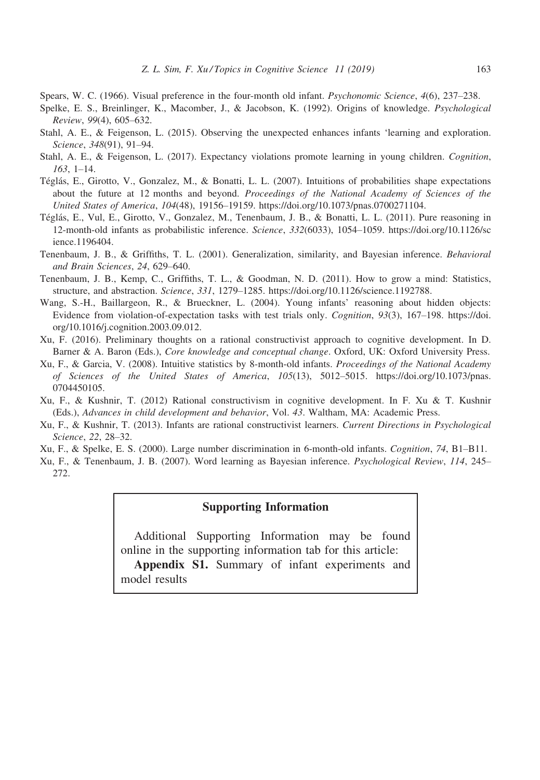- Spears, W. C. (1966). Visual preference in the four-month old infant. Psychonomic Science, 4(6), 237–238.
- Spelke, E. S., Breinlinger, K., Macomber, J., & Jacobson, K. (1992). Origins of knowledge. Psychological Review, 99(4), 605–632.
- Stahl, A. E., & Feigenson, L. (2015). Observing the unexpected enhances infants 'learning and exploration. Science, 348(91), 91–94.
- Stahl, A. E., & Feigenson, L. (2017). Expectancy violations promote learning in young children. Cognition, 163, 1–14.
- Teglas, E., Girotto, V., Gonzalez, M., & Bonatti, L. L. (2007). Intuitions of probabilities shape expectations about the future at 12 months and beyond. Proceedings of the National Academy of Sciences of the United States of America, 104(48), 19156–19159. [https://doi.org/10.1073/pnas.0700271104.](https://doi.org/10.1073/pnas.0700271104)
- Teglas, E., Vul, E., Girotto, V., Gonzalez, M., Tenenbaum, J. B., & Bonatti, L. L. (2011). Pure reasoning in 12-month-old infants as probabilistic inference. Science, 332(6033), 1054–1059. [https://doi.org/10.1126/sc](https://doi.org/10.1126/science.1196404) [ience.1196404](https://doi.org/10.1126/science.1196404).
- Tenenbaum, J. B., & Griffiths, T. L. (2001). Generalization, similarity, and Bayesian inference. Behavioral and Brain Sciences, 24, 629–640.
- Tenenbaum, J. B., Kemp, C., Griffiths, T. L., & Goodman, N. D. (2011). How to grow a mind: Statistics, structure, and abstraction. Science, 331, 1279–1285. [https://doi.org/10.1126/science.1192788.](https://doi.org/10.1126/science.1192788)
- Wang, S.-H., Baillargeon, R., & Brueckner, L. (2004). Young infants' reasoning about hidden objects: Evidence from violation-of-expectation tasks with test trials only. Cognition, 93(3), 167–198. [https://doi.](https://doi.org/10.1016/j.cognition.2003.09.012) [org/10.1016/j.cognition.2003.09.012](https://doi.org/10.1016/j.cognition.2003.09.012).
- Xu, F. (2016). Preliminary thoughts on a rational constructivist approach to cognitive development. In D. Barner & A. Baron (Eds.), Core knowledge and conceptual change. Oxford, UK: Oxford University Press.
- Xu, F., & Garcia, V. (2008). Intuitive statistics by 8-month-old infants. Proceedings of the National Academy of Sciences of the United States of America, 105(13), 5012–5015. [https://doi.org/10.1073/pnas.](https://doi.org/10.1073/pnas.0704450105) [0704450105](https://doi.org/10.1073/pnas.0704450105).
- Xu, F., & Kushnir, T. (2012) Rational constructivism in cognitive development. In F. Xu & T. Kushnir (Eds.), Advances in child development and behavior, Vol. 43. Waltham, MA: Academic Press.
- Xu, F., & Kushnir, T. (2013). Infants are rational constructivist learners. Current Directions in Psychological Science, 22, 28–32.
- Xu, F., & Spelke, E. S. (2000). Large number discrimination in 6-month-old infants. Cognition, 74, B1–B11.
- Xu, F., & Tenenbaum, J. B. (2007). Word learning as Bayesian inference. Psychological Review, 114, 245– 272.

#### Supporting Information

Additional Supporting Information may be found online in the supporting information tab for this article:

Appendix S1. Summary of infant experiments and model results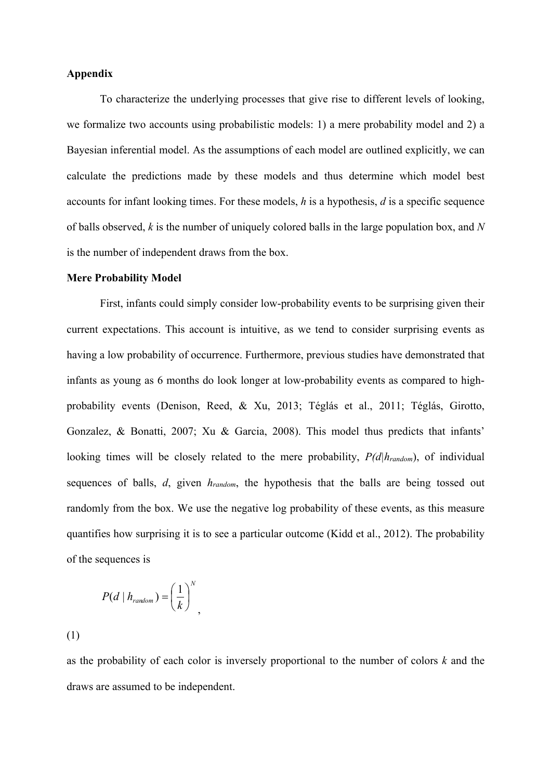### **Appendix**

To characterize the underlying processes that give rise to different levels of looking, we formalize two accounts using probabilistic models: 1) a mere probability model and 2) a Bayesian inferential model. As the assumptions of each model are outlined explicitly, we can calculate the predictions made by these models and thus determine which model best accounts for infant looking times. For these models, *h* is a hypothesis, *d* is a specific sequence of balls observed, *k* is the number of uniquely colored balls in the large population box, and *N* is the number of independent draws from the box.

### **Mere Probability Model**

First, infants could simply consider low-probability events to be surprising given their current expectations. This account is intuitive, as we tend to consider surprising events as having a low probability of occurrence. Furthermore, previous studies have demonstrated that infants as young as 6 months do look longer at low-probability events as compared to highprobability events (Denison, Reed, & Xu, 2013; Téglás et al., 2011; Téglás, Girotto, Gonzalez, & Bonatti, 2007; Xu & Garcia, 2008). This model thus predicts that infants' looking times will be closely related to the mere probability,  $P(d|h_{random})$ , of individual sequences of balls, *d*, given *hrandom*, the hypothesis that the balls are being tossed out randomly from the box. We use the negative log probability of these events, as this measure quantifies how surprising it is to see a particular outcome (Kidd et al., 2012). The probability of the sequences is

$$
P(d \mid h_{random}) = \left(\frac{1}{k}\right)^N,
$$

(1)

as the probability of each color is inversely proportional to the number of colors *k* and the draws are assumed to be independent.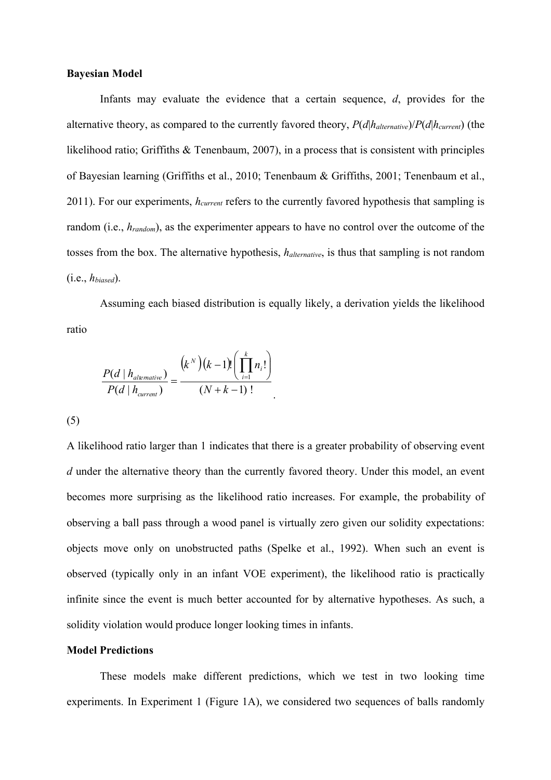### **Bayesian Model**

Infants may evaluate the evidence that a certain sequence, *d*, provides for the alternative theory, as compared to the currently favored theory,  $P(d|h_{\text{alternative}})/P(d|h_{\text{current}})$  (the likelihood ratio; Griffiths & Tenenbaum, 2007), in a process that is consistent with principles of Bayesian learning (Griffiths et al., 2010; Tenenbaum & Griffiths, 2001; Tenenbaum et al., 2011). For our experiments, *hcurrent* refers to the currently favored hypothesis that sampling is random (i.e., *hrandom*), as the experimenter appears to have no control over the outcome of the tosses from the box. The alternative hypothesis, *halternative*, is thus that sampling is not random (i.e., *hbiased*).

Assuming each biased distribution is equally likely, a derivation yields the likelihood ratio

.

$$
\frac{P(d \mid h_{\text{alternative}})}{P(d \mid h_{\text{current}})} = \frac{(k^N)(k-1)! \left(\prod_{i=1}^k n_i!\right)}{(N+k-1)!}
$$

(5)

A likelihood ratio larger than 1 indicates that there is a greater probability of observing event *d* under the alternative theory than the currently favored theory. Under this model, an event becomes more surprising as the likelihood ratio increases. For example, the probability of observing a ball pass through a wood panel is virtually zero given our solidity expectations: objects move only on unobstructed paths (Spelke et al., 1992). When such an event is observed (typically only in an infant VOE experiment), the likelihood ratio is practically infinite since the event is much better accounted for by alternative hypotheses. As such, a solidity violation would produce longer looking times in infants.

### **Model Predictions**

These models make different predictions, which we test in two looking time experiments. In Experiment 1 (Figure 1A), we considered two sequences of balls randomly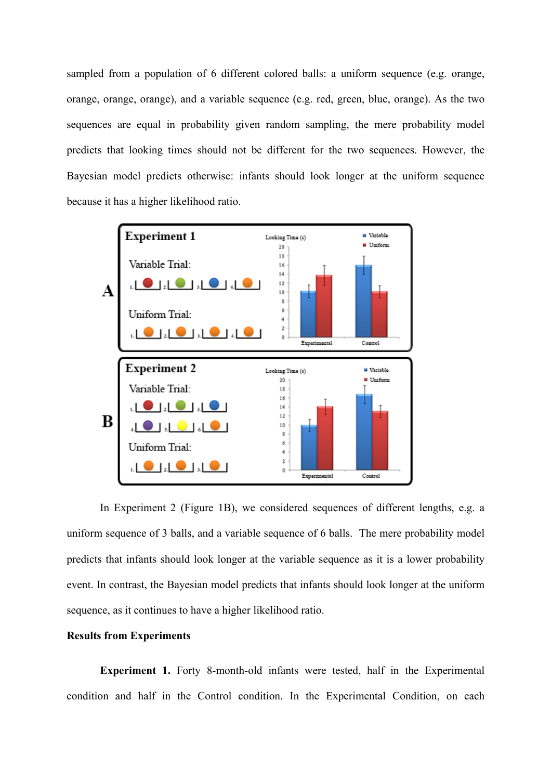sampled from a population of 6 different colored balls: a uniform sequence (e.g. orange, orange, orange, orange), and a variable sequence (e.g. red, green, blue, orange). As the two sequences are equal in probability given random sampling, the mere probability model predicts that looking times should not be different for the two sequences. However, the Bayesian model predicts otherwise: infants should look longer at the uniform sequence because it has a higher likelihood ratio.



In Experiment 2 (Figure 1B), we considered sequences of different lengths, e.g. a uniform sequence of 3 balls, and a variable sequence of 6 balls. The mere probability model predicts that infants should look longer at the variable sequence as it is a lower probability event. In contrast, the Bayesian model predicts that infants should look longer at the uniform sequence, as it continues to have a higher likelihood ratio.

## **Results from Experiments**

**Experiment 1.** Forty 8-month-old infants were tested, half in the Experimental condition and half in the Control condition. In the Experimental Condition, on each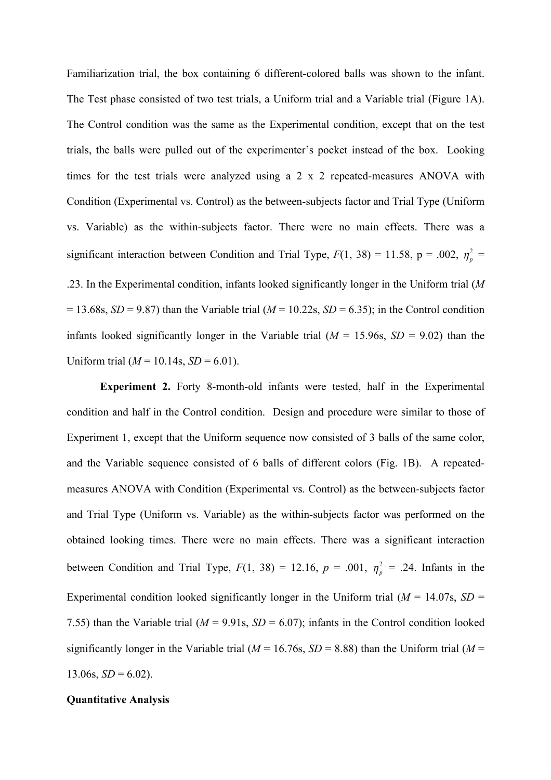Familiarization trial, the box containing 6 different-colored balls was shown to the infant. The Test phase consisted of two test trials, a Uniform trial and a Variable trial (Figure 1A). The Control condition was the same as the Experimental condition, except that on the test trials, the balls were pulled out of the experimenter's pocket instead of the box. Looking times for the test trials were analyzed using a 2 x 2 repeated-measures ANOVA with Condition (Experimental vs. Control) as the between-subjects factor and Trial Type (Uniform vs. Variable) as the within-subjects factor. There were no main effects. There was a significant interaction between Condition and Trial Type,  $F(1, 38) = 11.58$ , p = .002,  $\eta_p^2$  = .23. In the Experimental condition, infants looked significantly longer in the Uniform trial (*M*  $= 13.68$ s, *SD* = 9.87) than the Variable trial (*M* = 10.22s, *SD* = 6.35); in the Control condition infants looked significantly longer in the Variable trial  $(M = 15.96s, SD = 9.02)$  than the Uniform trial ( $M = 10.14$ s,  $SD = 6.01$ ).

**Experiment 2.** Forty 8-month-old infants were tested, half in the Experimental condition and half in the Control condition. Design and procedure were similar to those of Experiment 1, except that the Uniform sequence now consisted of 3 balls of the same color, and the Variable sequence consisted of 6 balls of different colors (Fig. 1B). A repeatedmeasures ANOVA with Condition (Experimental vs. Control) as the between-subjects factor and Trial Type (Uniform vs. Variable) as the within-subjects factor was performed on the obtained looking times. There were no main effects. There was a significant interaction between Condition and Trial Type,  $F(1, 38) = 12.16$ ,  $p = .001$ ,  $\eta_p^2 = .24$ . Infants in the Experimental condition looked significantly longer in the Uniform trial  $(M = 14.07s, SD =$ 7.55) than the Variable trial  $(M = 9.91s, SD = 6.07)$ ; infants in the Control condition looked significantly longer in the Variable trial ( $M = 16.76$ s,  $SD = 8.88$ ) than the Uniform trial ( $M =$  $13.06s$ ,  $SD = 6.02$ ).

#### **Quantitative Analysis**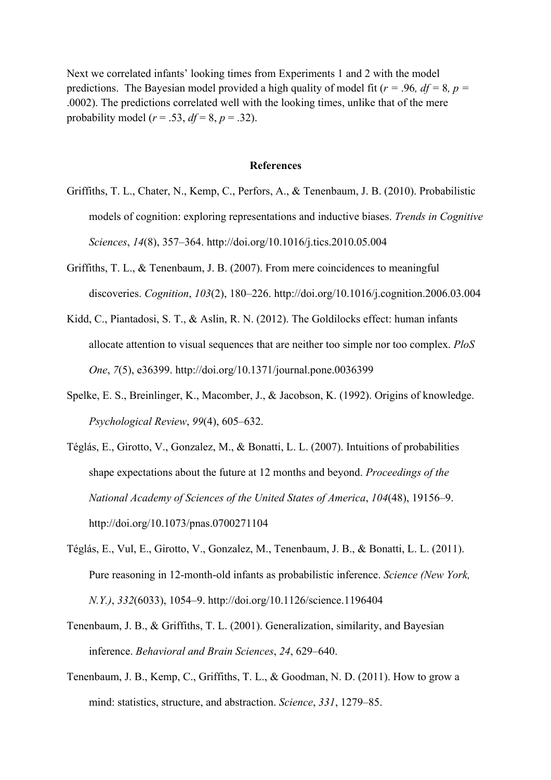Next we correlated infants' looking times from Experiments 1 and 2 with the model predictions. The Bayesian model provided a high quality of model fit ( $r = .96$ ,  $df = 8$ ,  $p =$ .0002). The predictions correlated well with the looking times, unlike that of the mere probability model ( $r = .53$ ,  $df = 8$ ,  $p = .32$ ).

### **References**

- Griffiths, T. L., Chater, N., Kemp, C., Perfors, A., & Tenenbaum, J. B. (2010). Probabilistic models of cognition: exploring representations and inductive biases. *Trends in Cognitive Sciences*, *14*(8), 357–364. http://doi.org/10.1016/j.tics.2010.05.004
- Griffiths, T. L., & Tenenbaum, J. B. (2007). From mere coincidences to meaningful discoveries. *Cognition*, *103*(2), 180–226. http://doi.org/10.1016/j.cognition.2006.03.004
- Kidd, C., Piantadosi, S. T., & Aslin, R. N. (2012). The Goldilocks effect: human infants allocate attention to visual sequences that are neither too simple nor too complex. *PloS One*, *7*(5), e36399. http://doi.org/10.1371/journal.pone.0036399
- Spelke, E. S., Breinlinger, K., Macomber, J., & Jacobson, K. (1992). Origins of knowledge. *Psychological Review*, *99*(4), 605–632.
- Téglás, E., Girotto, V., Gonzalez, M., & Bonatti, L. L. (2007). Intuitions of probabilities shape expectations about the future at 12 months and beyond. *Proceedings of the National Academy of Sciences of the United States of America*, *104*(48), 19156–9. http://doi.org/10.1073/pnas.0700271104
- Téglás, E., Vul, E., Girotto, V., Gonzalez, M., Tenenbaum, J. B., & Bonatti, L. L. (2011). Pure reasoning in 12-month-old infants as probabilistic inference. *Science (New York, N.Y.)*, *332*(6033), 1054–9. http://doi.org/10.1126/science.1196404
- Tenenbaum, J. B., & Griffiths, T. L. (2001). Generalization, similarity, and Bayesian inference. *Behavioral and Brain Sciences*, *24*, 629–640.
- Tenenbaum, J. B., Kemp, C., Griffiths, T. L., & Goodman, N. D. (2011). How to grow a mind: statistics, structure, and abstraction. *Science*, *331*, 1279–85.